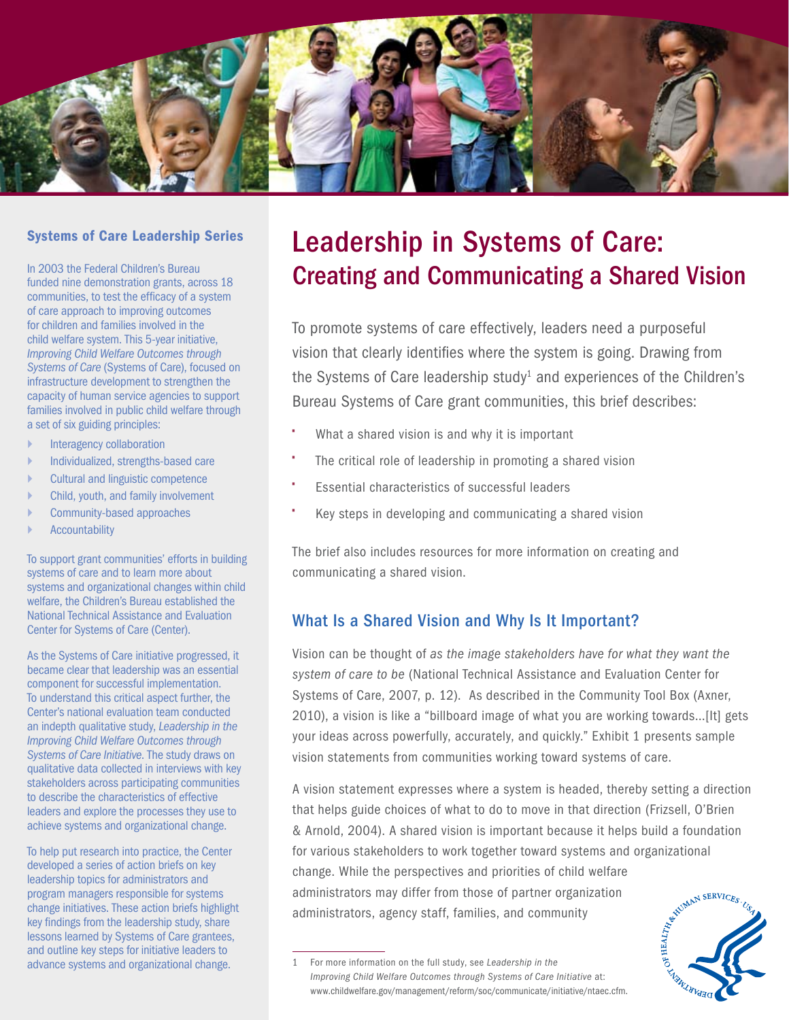

#### Systems of Care Leadership Series

In 2003 the Federal Children's Bureau funded nine demonstration grants, across 18 communities, to test the efficacy of a system of care approach to improving outcomes for children and families involved in the child welfare system. This 5-year initiative, *Improving Child Welfare Outcomes through Systems of Care* (Systems of Care), focused on infrastructure development to strengthen the capacity of human service agencies to support families involved in public child welfare through a set of six guiding principles:

- ` Interagency collaboration
- ` Individualized, strengths-based care
- Cultural and linguistic competence
- ` Child, youth, and family involvement
- ` Community-based approaches
- **Accountability**

To support grant communities' efforts in building systems of care and to learn more about systems and organizational changes within child welfare, the Children's Bureau established the National Technical Assistance and Evaluation Center for Systems of Care (Center).

As the Systems of Care initiative progressed, it became clear that leadership was an essential component for successful implementation. To understand this critical aspect further, the Center's national evaluation team conducted an indepth qualitative study, *Leadership in the Improving Child Welfare Outcomes through Systems of Care Initiative*. The study draws on qualitative data collected in interviews with key stakeholders across participating communities to describe the characteristics of effective leaders and explore the processes they use to achieve systems and organizational change.

To help put research into practice, the Center developed a series of action briefs on key leadership topics for administrators and program managers responsible for systems change initiatives. These action briefs highlight key findings from the leadership study, share lessons learned by Systems of Care grantees, and outline key steps for initiative leaders to advance systems and organizational change.

# Leadership in Systems of Care: Creating and Communicating a Shared Vision

To promote systems of care effectively, leaders need a purposeful vision that clearly identifies where the system is going. Drawing from the Systems of Care leadership study<sup>1</sup> and experiences of the Children's Bureau Systems of Care grant communities, this brief describes:

- What a shared vision is and why it is important
- The critical role of leadership in promoting a shared vision
- Essential characteristics of successful leaders
- Key steps in developing and communicating a shared vision

The brief also includes resources for more information on creating and communicating a shared vision.

## What Is a Shared Vision and Why Is It Important?

Vision can be thought of *as the image stakeholders have for what they want the system of care to be* (National Technical Assistance and Evaluation Center for Systems of Care, 2007, p. 12). As described in the Community Tool Box (Axner, 2010), a vision is like a "billboard image of what you are working towards...[It] gets your ideas across powerfully, accurately, and quickly." Exhibit 1 presents sample vision statements from communities working toward systems of care.

A vision statement expresses where a system is headed, thereby setting a direction that helps guide choices of what to do to move in that direction (Frizsell, O'Brien & Arnold, 2004). A shared vision is important because it helps build a foundation for various stakeholders to work together toward systems and organizational<br>change. While the perspectives and priorities of child welfare<br>administrators may differ from those of partner organization<br>administrators, agenc change. While the perspectives and priorities of child welfare administrators may differ from those of partner organization administrators, agency staff, families, and community

<sup>1</sup> For more information on the full study, see *Leadership in the Improving Child Welfare Outcomes through Systems of Care Initiative* at: [www.childwelfare.gov/management/reform/soc/communicate/initiative/ntaec.cfm.](www.childwelfare.gov/management/reform/soc/communicate/initiative/ntaec.cfm)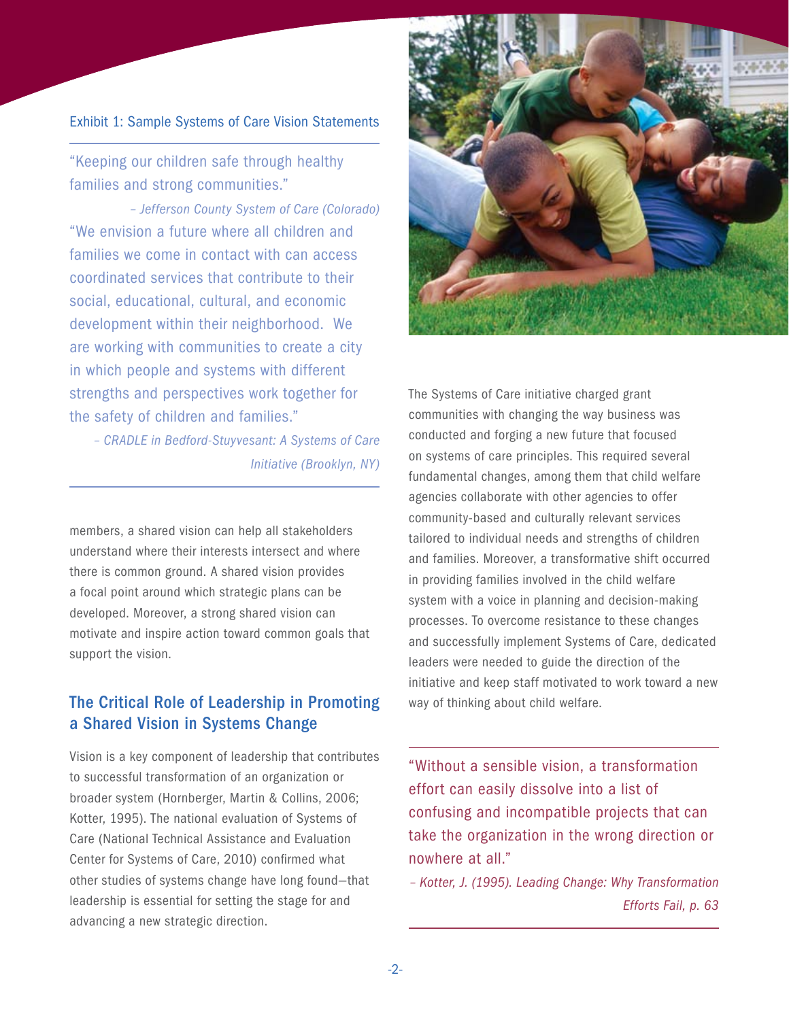#### Exhibit 1: Sample Systems of Care Vision Statements

"Keeping our children safe through healthy families and strong communities."

*– Jefferson County System of Care (Colorado)* "We envision a future where all children and families we come in contact with can access coordinated services that contribute to their social, educational, cultural, and economic development within their neighborhood. We are working with communities to create a city in which people and systems with different strengths and perspectives work together for the safety of children and families."

*– CRADLE in Bedford-Stuyvesant: A Systems of Care Initiative (Brooklyn, NY)*

members, a shared vision can help all stakeholders understand where their interests intersect and where there is common ground. A shared vision provides a focal point around which strategic plans can be developed. Moreover, a strong shared vision can motivate and inspire action toward common goals that support the vision.

## The Critical Role of Leadership in Promoting a Shared Vision in Systems Change

Vision is a key component of leadership that contributes to successful transformation of an organization or broader system (Hornberger, Martin & Collins, 2006; Kotter, 1995). The national evaluation of Systems of Care (National Technical Assistance and Evaluation Center for Systems of Care, 2010) confirmed what other studies of systems change have long found—that leadership is essential for setting the stage for and advancing a new strategic direction.



The Systems of Care initiative charged grant communities with changing the way business was conducted and forging a new future that focused on systems of care principles. This required several fundamental changes, among them that child welfare agencies collaborate with other agencies to offer community-based and culturally relevant services tailored to individual needs and strengths of children and families. Moreover, a transformative shift occurred in providing families involved in the child welfare system with a voice in planning and decision-making processes. To overcome resistance to these changes and successfully implement Systems of Care, dedicated leaders were needed to guide the direction of the initiative and keep staff motivated to work toward a new way of thinking about child welfare.

"Without a sensible vision, a transformation effort can easily dissolve into a list of confusing and incompatible projects that can take the organization in the wrong direction or nowhere at all."

*– Kotter, J. (1995). Leading Change: Why Transformation Efforts Fail, p. 63*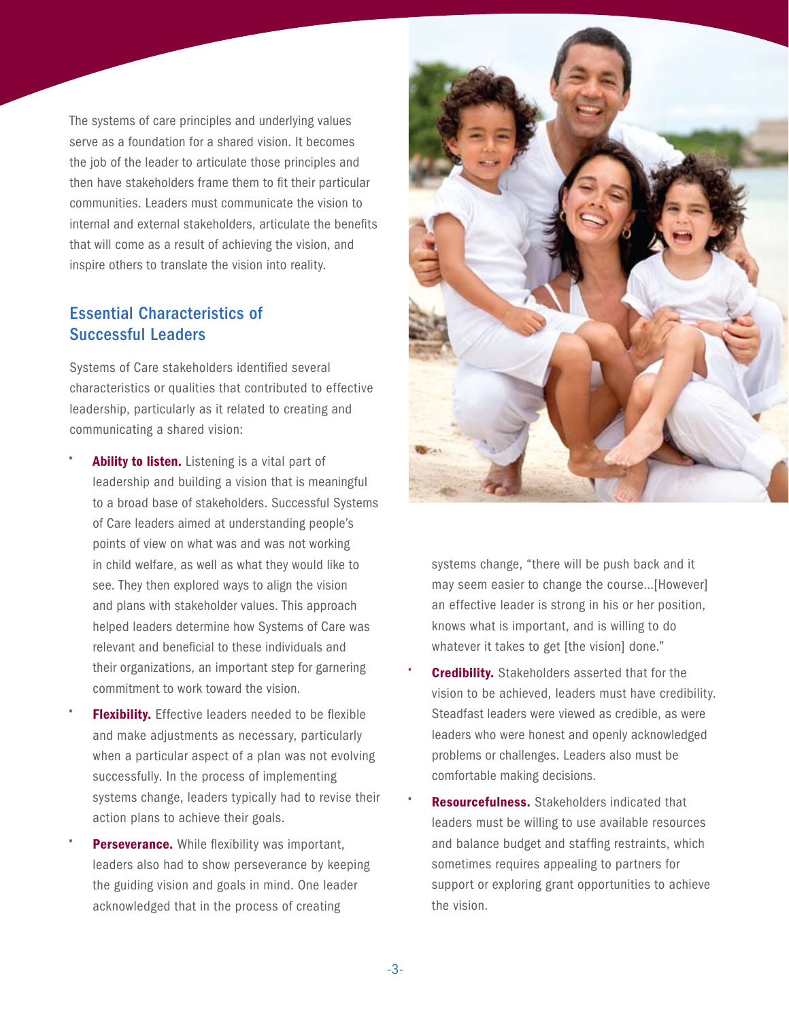The systems of care principles and underlying values serve as a foundation for a shared vision. It becomes the job of the leader to articulate those principles and then have stakeholders frame them to fit their particular communities. Leaders must communicate the vision to internal and external stakeholders, articulate the benefits that will come as a result of achieving the vision, and inspire others to translate the vision into reality.

## Essential Characteristics of Successful Leaders

Systems of Care stakeholders identified several characteristics or qualities that contributed to effective leadership, particularly as it related to creating and communicating a shared vision:

- Ability to listen. Listening is a vital part of leadership and building a vision that is meaningful to a broad base of stakeholders. Successful Systems of Care leaders aimed at understanding people's points of view on what was and was not working in child welfare, as well as what they would like to see. They then explored ways to align the vision and plans with stakeholder values. This approach helped leaders determine how Systems of Care was relevant and beneficial to these individuals and their organizations, an important step for garnering commitment to work toward the vision.
- **Flexibility.** Effective leaders needed to be flexible and make adjustments as necessary, particularly when a particular aspect of a plan was not evolving successfully. In the process of implementing systems change, leaders typically had to revise their action plans to achieve their goals.
- Perseverance. While flexibility was important, leaders also had to show perseverance by keeping the guiding vision and goals in mind. One leader acknowledged that in the process of creating



systems change, "there will be push back and it may seem easier to change the course…[However] an effective leader is strong in his or her position, knows what is important, and is willing to do whatever it takes to get [the vision] done."

- **Credibility.** Stakeholders asserted that for the vision to be achieved, leaders must have credibility. Steadfast leaders were viewed as credible, as were leaders who were honest and openly acknowledged problems or challenges. Leaders also must be comfortable making decisions.
- Resourcefulness. Stakeholders indicated that leaders must be willing to use available resources and balance budget and staffing restraints, which sometimes requires appealing to partners for support or exploring grant opportunities to achieve the vision.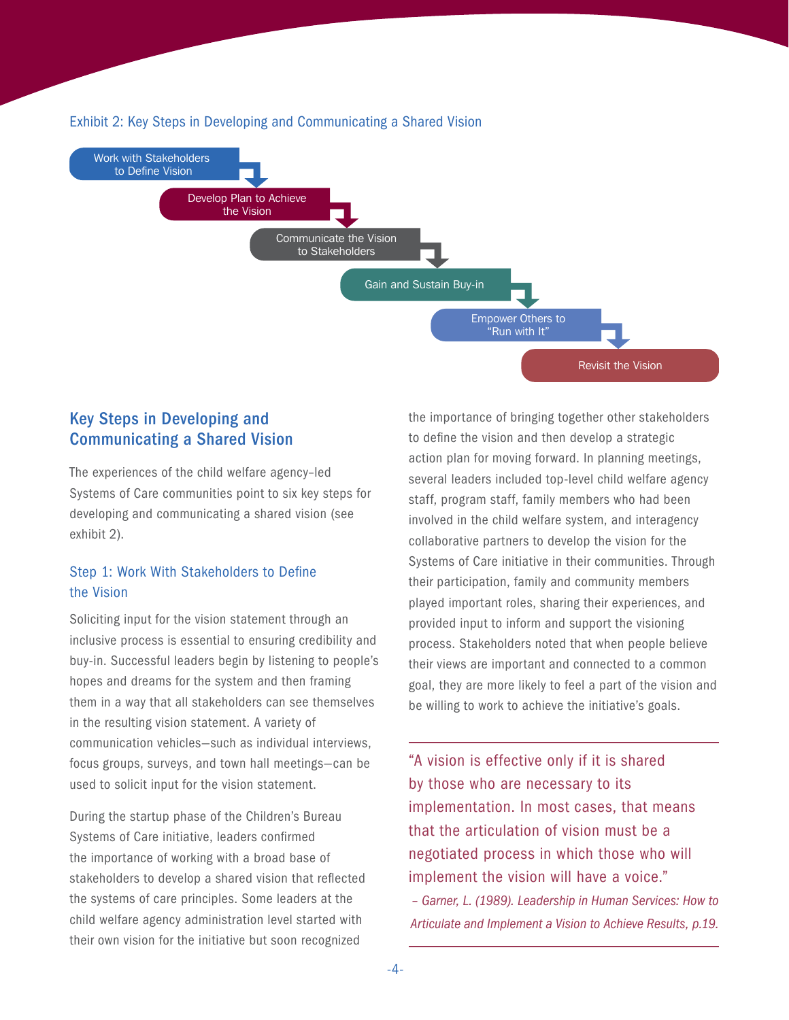

#### Exhibit 2: Key Steps in Developing and Communicating a Shared Vision

## Key Steps in Developing and Communicating a Shared Vision

The experiences of the child welfare agency–led Systems of Care communities point to six key steps for developing and communicating a shared vision (see exhibit 2).

## Step 1: Work With Stakeholders to Define the Vision

Soliciting input for the vision statement through an inclusive process is essential to ensuring credibility and buy-in. Successful leaders begin by listening to people's hopes and dreams for the system and then framing them in a way that all stakeholders can see themselves in the resulting vision statement. A variety of communication vehicles—such as individual interviews, focus groups, surveys, and town hall meetings—can be used to solicit input for the vision statement.

During the startup phase of the Children's Bureau Systems of Care initiative, leaders confirmed the importance of working with a broad base of stakeholders to develop a shared vision that reflected the systems of care principles. Some leaders at the child welfare agency administration level started with their own vision for the initiative but soon recognized

the importance of bringing together other stakeholders to define the vision and then develop a strategic action plan for moving forward. In planning meetings, several leaders included top-level child welfare agency staff, program staff, family members who had been involved in the child welfare system, and interagency collaborative partners to develop the vision for the Systems of Care initiative in their communities. Through their participation, family and community members played important roles, sharing their experiences, and provided input to inform and support the visioning process. Stakeholders noted that when people believe their views are important and connected to a common goal, they are more likely to feel a part of the vision and be willing to work to achieve the initiative's goals.

"A vision is effective only if it is shared by those who are necessary to its implementation. In most cases, that means that the articulation of vision must be a negotiated process in which those who will implement the vision will have a voice."

*– Garner, L. (1989). Leadership in Human Services: How to Articulate and Implement a Vision to Achieve Results, p.19.*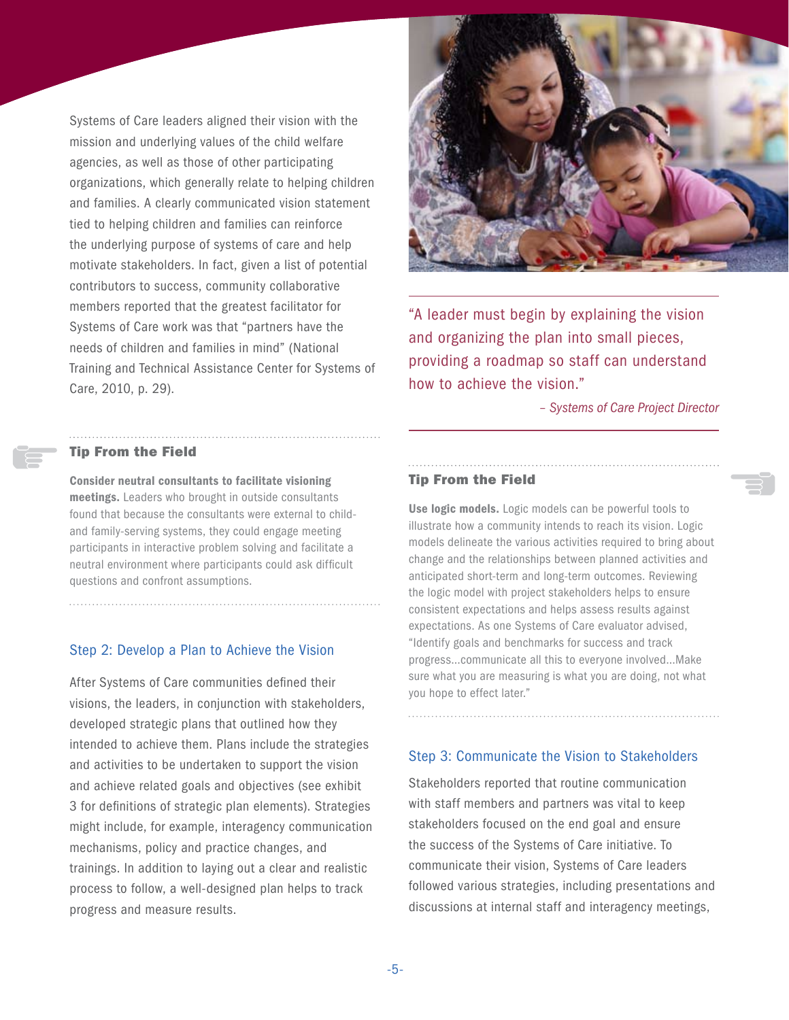Systems of Care leaders aligned their vision with the mission and underlying values of the child welfare agencies, as well as those of other participating organizations, which generally relate to helping children and families. A clearly communicated vision statement tied to helping children and families can reinforce the underlying purpose of systems of care and help motivate stakeholders. In fact, given a list of potential contributors to success, community collaborative members reported that the greatest facilitator for Systems of Care work was that "partners have the needs of children and families in mind" (National Training and Technical Assistance Center for Systems of Care, 2010, p. 29).



"A leader must begin by explaining the vision and organizing the plan into small pieces, providing a roadmap so staff can understand how to achieve the vision."

*– Systems of Care Project Director*

#### Tip From the Field

Consider neutral consultants to facilitate visioning meetings. Leaders who brought in outside consultants found that because the consultants were external to childand family-serving systems, they could engage meeting participants in interactive problem solving and facilitate a neutral environment where participants could ask difficult questions and confront assumptions.

#### Step 2: Develop a Plan to Achieve the Vision

After Systems of Care communities defined their visions, the leaders, in conjunction with stakeholders, developed strategic plans that outlined how they intended to achieve them. Plans include the strategies and activities to be undertaken to support the vision and achieve related goals and objectives (see exhibit 3 for definitions of strategic plan elements). Strategies might include, for example, interagency communication mechanisms, policy and practice changes, and trainings. In addition to laying out a clear and realistic process to follow, a well-designed plan helps to track progress and measure results.

#### Tip From the Field

Use logic models. Logic models can be powerful tools to illustrate how a community intends to reach its vision. Logic models delineate the various activities required to bring about change and the relationships between planned activities and anticipated short-term and long-term outcomes. Reviewing the logic model with project stakeholders helps to ensure consistent expectations and helps assess results against expectations. As one Systems of Care evaluator advised, "Identify goals and benchmarks for success and track progress…communicate all this to everyone involved…Make sure what you are measuring is what you are doing, not what you hope to effect later."

#### Step 3: Communicate the Vision to Stakeholders

Stakeholders reported that routine communication with staff members and partners was vital to keep stakeholders focused on the end goal and ensure the success of the Systems of Care initiative. To communicate their vision, Systems of Care leaders followed various strategies, including presentations and discussions at internal staff and interagency meetings,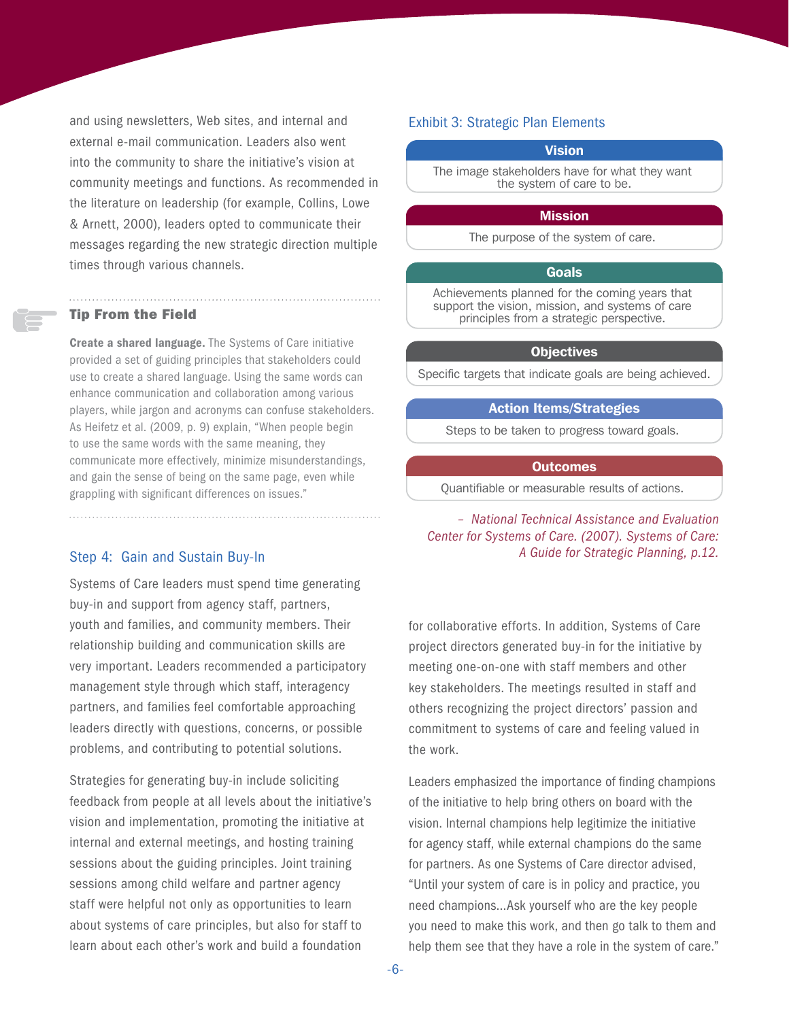and using newsletters, Web sites, and internal and external e-mail communication. Leaders also went into the community to share the initiative's vision at community meetings and functions. As recommended in the literature on leadership (for example, Collins, Lowe & Arnett, 2000), leaders opted to communicate their messages regarding the new strategic direction multiple times through various channels.

#### Tip From the Field

Create a shared language. The Systems of Care initiative provided a set of guiding principles that stakeholders could use to create a shared language. Using the same words can enhance communication and collaboration among various players, while jargon and acronyms can confuse stakeholders. As Heifetz et al. (2009, p. 9) explain, "When people begin to use the same words with the same meaning, they communicate more effectively, minimize misunderstandings, and gain the sense of being on the same page, even while grappling with significant differences on issues."

#### Step 4: Gain and Sustain Buy-In

Systems of Care leaders must spend time generating buy-in and support from agency staff, partners, youth and families, and community members. Their relationship building and communication skills are very important. Leaders recommended a participatory management style through which staff, interagency partners, and families feel comfortable approaching leaders directly with questions, concerns, or possible problems, and contributing to potential solutions.

Strategies for generating buy-in include soliciting feedback from people at all levels about the initiative's vision and implementation, promoting the initiative at internal and external meetings, and hosting training sessions about the guiding principles. Joint training sessions among child welfare and partner agency staff were helpful not only as opportunities to learn about systems of care principles, but also for staff to learn about each other's work and build a foundation

#### Exhibit 3: Strategic Plan Elements

#### Vision

The image stakeholders have for what they want the system of care to be.

#### **Mission**

The purpose of the system of care.

#### Goals

Achievements planned for the coming years that support the vision, mission, and systems of care principles from a strategic perspective.

#### **Objectives**

Specific targets that indicate goals are being achieved.

#### Action Items/Strategies

Steps to be taken to progress toward goals.

#### **Outcomes**

Quantifiable or measurable results of actions.

#### *– National Technical Assistance and Evaluation Center for Systems of Care. (2007). Systems of Care: A Guide for Strategic Planning, p.12.*

for collaborative efforts. In addition, Systems of Care project directors generated buy-in for the initiative by meeting one-on-one with staff members and other key stakeholders. The meetings resulted in staff and others recognizing the project directors' passion and commitment to systems of care and feeling valued in the work.

Leaders emphasized the importance of finding champions of the initiative to help bring others on board with the vision. Internal champions help legitimize the initiative for agency staff, while external champions do the same for partners. As one Systems of Care director advised, "Until your system of care is in policy and practice, you need champions…Ask yourself who are the key people you need to make this work, and then go talk to them and help them see that they have a role in the system of care."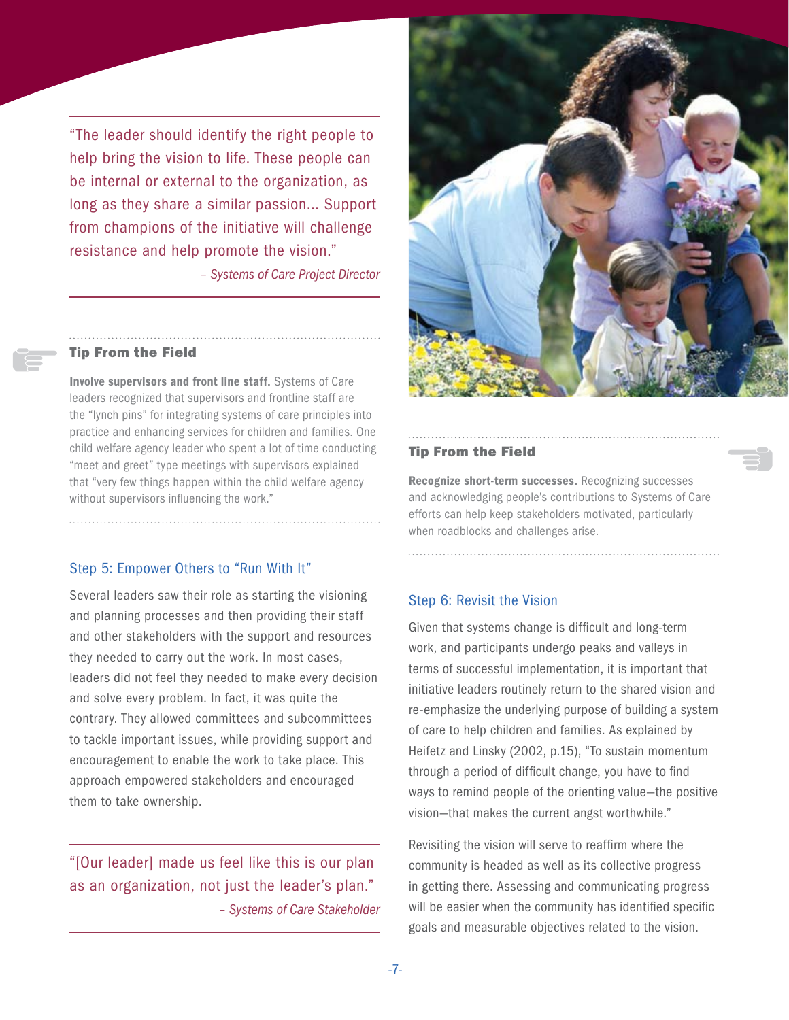"The leader should identify the right people to help bring the vision to life. These people can be internal or external to the organization, as long as they share a similar passion... Support from champions of the initiative will challenge resistance and help promote the vision."

*– Systems of Care Project Director*

#### Tip From the Field

Involve supervisors and front line staff. Systems of Care leaders recognized that supervisors and frontline staff are the "lynch pins" for integrating systems of care principles into practice and enhancing services for children and families. One child welfare agency leader who spent a lot of time conducting "meet and greet" type meetings with supervisors explained that "very few things happen within the child welfare agency without supervisors influencing the work."

#### Step 5: Empower Others to "Run With It"

Several leaders saw their role as starting the visioning and planning processes and then providing their staff and other stakeholders with the support and resources they needed to carry out the work. In most cases, leaders did not feel they needed to make every decision and solve every problem. In fact, it was quite the contrary. They allowed committees and subcommittees to tackle important issues, while providing support and encouragement to enable the work to take place. This approach empowered stakeholders and encouraged them to take ownership.

"[Our leader] made us feel like this is our plan as an organization, not just the leader's plan." *– Systems of Care Stakeholder*



#### Tip From the Field

Recognize short-term successes. Recognizing successes and acknowledging people's contributions to Systems of Care efforts can help keep stakeholders motivated, particularly when roadblocks and challenges arise.

#### Step 6: Revisit the Vision

Given that systems change is difficult and long-term work, and participants undergo peaks and valleys in terms of successful implementation, it is important that initiative leaders routinely return to the shared vision and re-emphasize the underlying purpose of building a system of care to help children and families. As explained by Heifetz and Linsky (2002, p.15), "To sustain momentum through a period of difficult change, you have to find ways to remind people of the orienting value—the positive vision—that makes the current angst worthwhile."

Revisiting the vision will serve to reaffirm where the community is headed as well as its collective progress in getting there. Assessing and communicating progress will be easier when the community has identified specific goals and measurable objectives related to the vision.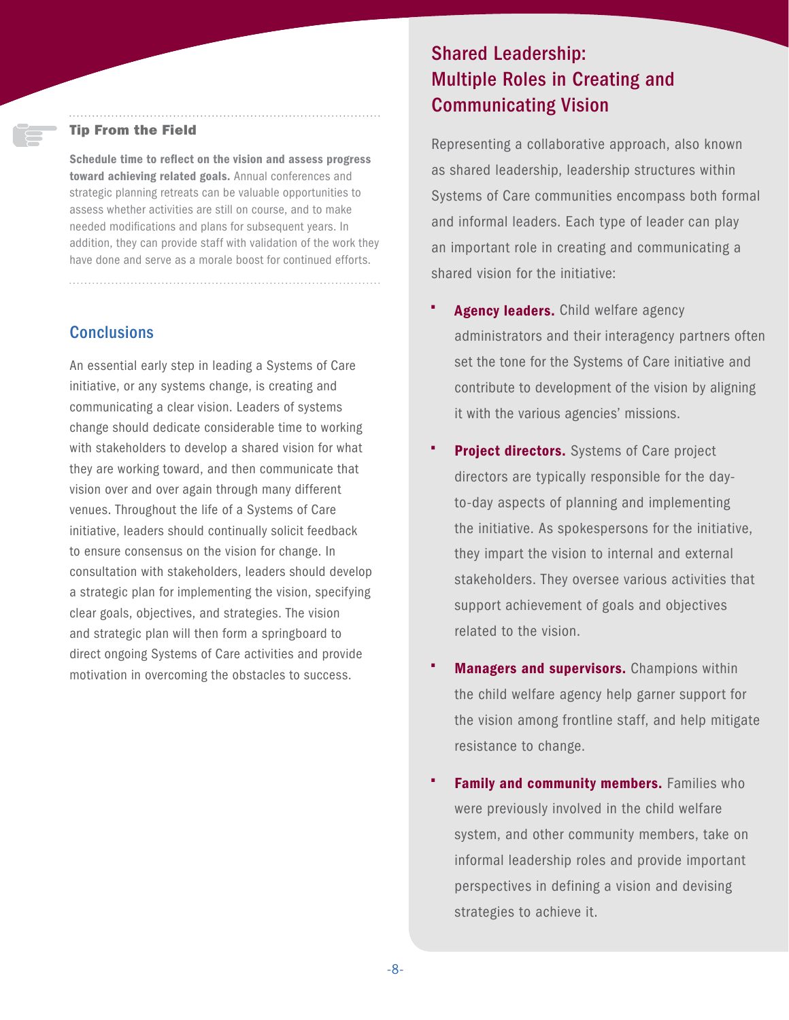#### Tip From the Field

Schedule time to reflect on the vision and assess progress toward achieving related goals. Annual conferences and strategic planning retreats can be valuable opportunities to assess whether activities are still on course, and to make needed modifications and plans for subsequent years. In addition, they can provide staff with validation of the work they have done and serve as a morale boost for continued efforts.

### **Conclusions**

An essential early step in leading a Systems of Care initiative, or any systems change, is creating and communicating a clear vision. Leaders of systems change should dedicate considerable time to working with stakeholders to develop a shared vision for what they are working toward, and then communicate that vision over and over again through many different venues. Throughout the life of a Systems of Care initiative, leaders should continually solicit feedback to ensure consensus on the vision for change. In consultation with stakeholders, leaders should develop a strategic plan for implementing the vision, specifying clear goals, objectives, and strategies. The vision and strategic plan will then form a springboard to direct ongoing Systems of Care activities and provide motivation in overcoming the obstacles to success.

## Shared Leadership: Multiple Roles in Creating and Communicating Vision

Representing a collaborative approach, also known as shared leadership, leadership structures within Systems of Care communities encompass both formal and informal leaders. Each type of leader can play an important role in creating and communicating a shared vision for the initiative:

- Agency leaders. Child welfare agency administrators and their interagency partners often set the tone for the Systems of Care initiative and contribute to development of the vision by aligning it with the various agencies' missions.
- **Project directors.** Systems of Care project directors are typically responsible for the dayto-day aspects of planning and implementing the initiative. As spokespersons for the initiative, they impart the vision to internal and external stakeholders. They oversee various activities that support achievement of goals and objectives related to the vision.
- **Managers and supervisors.** Champions within the child welfare agency help garner support for the vision among frontline staff, and help mitigate resistance to change.
- **Family and community members.** Families who were previously involved in the child welfare system, and other community members, take on informal leadership roles and provide important perspectives in defining a vision and devising strategies to achieve it.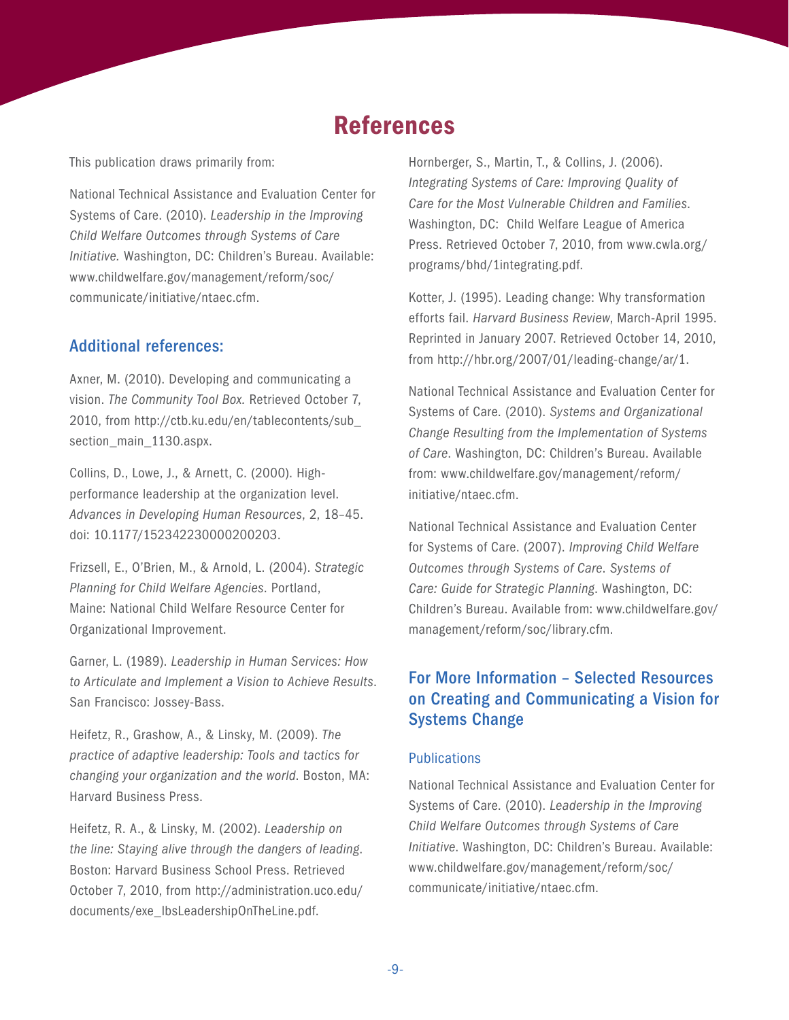## References

This publication draws primarily from:

National Technical Assistance and Evaluation Center for Systems of Care. (2010). *Leadership in the Improving Child Welfare Outcomes through Systems of Care Initiative.* Washington, DC: Children's Bureau. Available: [www.childwelfare.gov/management/reform/soc/](www.childwelfare.gov/management/reform/soc/communicate/initiative/ntaec.cfm) [communicate/initiative/ntaec.cfm.](www.childwelfare.gov/management/reform/soc/communicate/initiative/ntaec.cfm)

### Additional references:

Axner, M. (2010). Developing and communicating a vision. *The Community Tool Box.* Retrieved October 7, 2010, from [http://ctb.ku.edu/en/tablecontents/sub\\_](http://ctb.ku.edu/en/tablecontents/sub_section_main_1130.aspx) section main 1130.aspx.

Collins, D., Lowe, J., & Arnett, C. (2000). Highperformance leadership at the organization level. *Advances in Developing Human Resources*, 2, 18–45. doi: 10.1177/152342230000200203.

Frizsell, E., O'Brien, M., & Arnold, L. (2004). *Strategic Planning for Child Welfare Agencies*. Portland, Maine: National Child Welfare Resource Center for Organizational Improvement.

Garner, L. (1989). *Leadership in Human Services: How to Articulate and Implement a Vision to Achieve Results*. San Francisco: Jossey-Bass.

Heifetz, R., Grashow, A., & Linsky, M. (2009). *The practice of adaptive leadership: Tools and tactics for changing your organization and the world*. Boston, MA: Harvard Business Press.

Heifetz, R. A., & Linsky, M. (2002). *Leadership on the line: Staying alive through the dangers of leading*. Boston: Harvard Business School Press. Retrieved October 7, 2010, from [http://administration.uco.edu/](http://administration.uco.edu/documents/exe_lbsLeadershipOnTheLine.pdf) [documents/exe\\_lbsLeadershipOnTheLine.pdf.](http://administration.uco.edu/documents/exe_lbsLeadershipOnTheLine.pdf)

Hornberger, S., Martin, T., & Collins, J. (2006). *Integrating Systems of Care: Improving Quality of Care for the Most Vulnerable Children and Families*. Washington, DC: Child Welfare League of America Press. Retrieved October 7, 2010, from w[ww.cwla.org/](www.cwla.org/programs/bhd/1integrating.pdf) [programs/bhd/1integrating.pdf](www.cwla.org/programs/bhd/1integrating.pdf).

Kotter, J. (1995). Leading change: Why transformation efforts fail. *Harvard Business Review*, March-April 1995. Reprinted in January 2007. Retrieved October 14, 2010, from <http://hbr.org/2007/01/leading-change/ar/1>.

National Technical Assistance and Evaluation Center for Systems of Care. (2010). *Systems and Organizational Change Resulting from the Implementation of Systems of Care*. Washington, DC: Children's Bureau. Available from: [www.childwelfare.gov/management/reform/](www.childwelfare.gov/management/reform/initiative/ntaec.cfm) [initiative/ntaec.cfm](www.childwelfare.gov/management/reform/initiative/ntaec.cfm).

National Technical Assistance and Evaluation Center for Systems of Care. (2007). *Improving Child Welfare Outcomes through Systems of Care*. *Systems of Care: Guide for Strategic Planning*. Washington, DC: Children's Bureau. Available from: [www.childwelfare.gov/](www.childwelfare.gov/management/reform/soc/library.cfm) [management/reform/soc/library.cfm](www.childwelfare.gov/management/reform/soc/library.cfm).

## For More Information – Selected Resources on Creating and Communicating a Vision for Systems Change

#### **Publications**

National Technical Assistance and Evaluation Center for Systems of Care. (2010). *Leadership in the Improving Child Welfare Outcomes through Systems of Care Initiative*. Washington, DC: Children's Bureau. Available: [www.childwelfare.gov/management/reform/soc/](www.childwelfare.gov/management/reform/soc/communicate/initiative/ntaec.cfm) [communicate/initiative/ntaec.cfm](www.childwelfare.gov/management/reform/soc/communicate/initiative/ntaec.cfm).